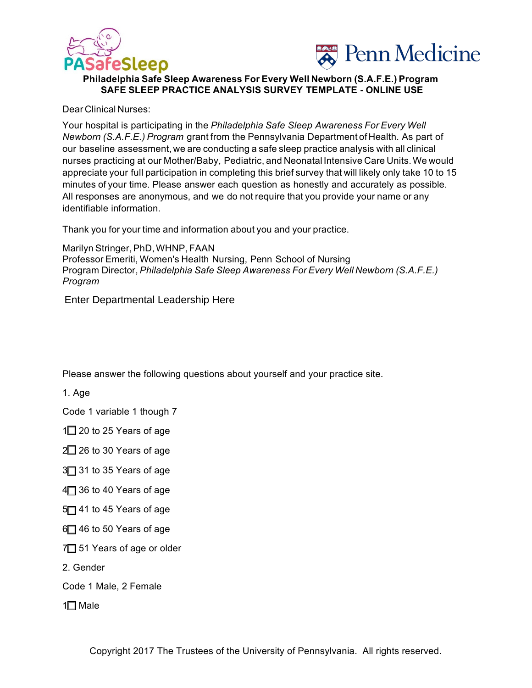



## **Philadelphia Safe Sleep Awareness For Every Well Newborn (S.A.F.E.) Program SAFE SLEEP PRACTICE ANALYSIS SURVEY TEMPLATE - ONLINE USE**

Dear Clinical Nurses:

Your hospital is participating in the *Philadelphia Safe Sleep Awareness For Every Well Newborn (S.A.F.E.) Program* grant from the Pennsylvania Department of Health. As part of our baseline assessment, we are conducting a safe sleep practice analysis with all clinical nurses practicing at our Mother/Baby, Pediatric, and Neonatal Intensive Care Units.We would appreciate your full participation in completing this brief survey that will likely only take 10 to 15 minutes of your time. Please answer each question as honestly and accurately as possible. All responses are anonymous, and we do not require that you provide your name or any identifiable information.

Thank you for your time and information about you and your practice.

Marilyn Stringer, PhD, WHNP, FAAN Professor Emeriti, Women's Health Nursing, Penn School of Nursing Program Director, *Philadelphia Safe Sleep Awareness For Every Well Newborn (S.A.F.E.) Program* 

Enter Departmental Leadership Here

Please answer the following questions about yourself and your practice site.

1. Age

Code 1 variable 1 though 7

 $1\Box$  20 to 25 Years of age

 $2\Box$  26 to 30 Years of age

3<sup>1</sup> 31 to 35 Years of age

4<sup>1</sup> 36 to 40 Years of age

5 41 to 45 Years of age

 $6$  46 to 50 Years of age

7<sup>1</sup> 51 Years of age or older

2. Gender

Code 1 Male, 2 Female

 $1\Box$  Male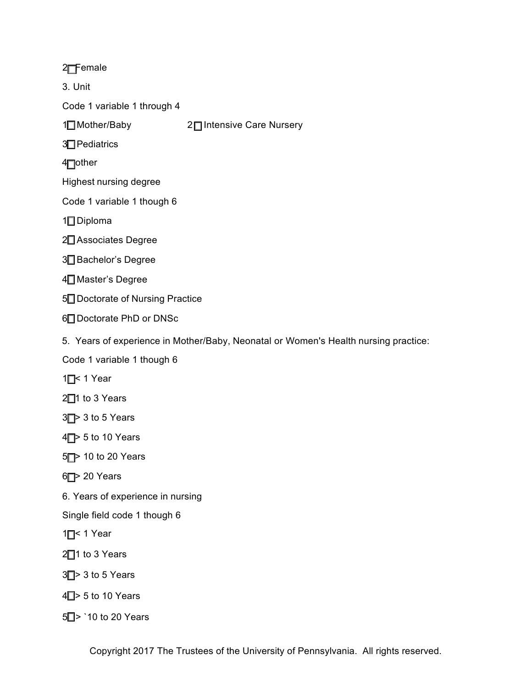## 2<sub>Female</sub>

3. Unit

Code 1 variable 1 through 4

2□ Intensive Care Nursery 1□ Mother/Baby

3<sup>T</sup>Pediatrics

4<sup>-</sup>Other

Highest nursing degree

Code 1 variable 1 though 6

 $1 \square$  Diploma

2<sup>1</sup> Associates Degree

3<sup>1</sup>Bachelor's Degree

4<sup>1</sup> Master's Degree

5<sup>1</sup> Doctorate of Nursing Practice

6 Doctorate PhD or DNSc

5. Years of experience in Mother/Baby, Neonatal or Women's Health nursing practice:

Code 1 variable 1 though 6

 $1 \square$  < 1 Year

2<sup>1</sup> to 3 Years

 $3$   $\triangleright$  3 to 5 Years

 $4 \square$  5 to 10 Years

5<sup> $\rightarrow$ </sup> 10 to 20 Years

 $6$   $\rightarrow$  20 Years

6. Years of experience in nursing

Single field code 1 though 6

1<sup> $\Gamma$ </sup> 1 Year

2<sup>1</sup> to 3 Years

 $3$  > 3 to 5 Years

 $4\square$  > 5 to 10 Years

5<sup> $\Box$ </sup> > `10 to 20 Years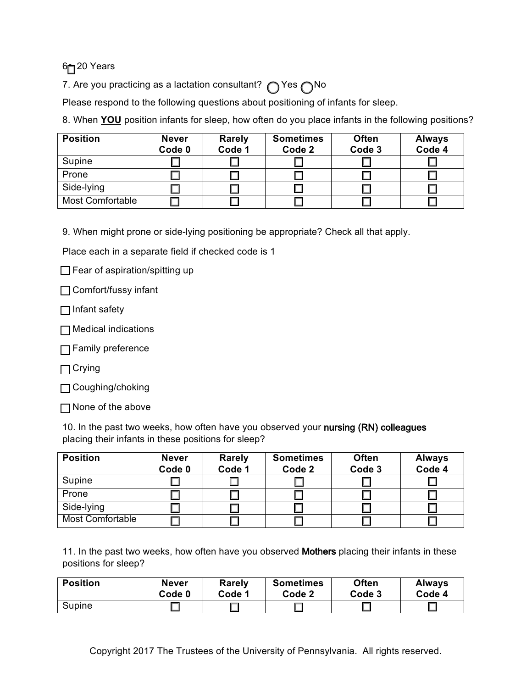6<sup> $-$ 20 Years</sup>

7. Are you practicing as a lactation consultant?  $\bigcap$  Yes  $\bigcap$  No

Please respond to the following questions about positioning of infants for sleep.

8. When **YOU** position infants for sleep, how often do you place infants in the following positions?

| <b>Position</b>         | <b>Never</b><br>Code 0 | <b>Rarely</b><br>Code 1 | <b>Sometimes</b><br>Code 2 | <b>Often</b><br>Code 3 | <b>Always</b><br>Code 4 |
|-------------------------|------------------------|-------------------------|----------------------------|------------------------|-------------------------|
| Supine                  |                        |                         |                            |                        |                         |
| Prone                   |                        |                         |                            |                        |                         |
| Side-lying              |                        |                         |                            |                        |                         |
| <b>Most Comfortable</b> |                        |                         |                            |                        |                         |

9. When might prone or side-lying positioning be appropriate? Check all that apply.

Place each in a separate field if checked code is 1

 $\Box$  Fear of aspiration/spitting up

Comfort/fussy infant

 $\Box$  Infant safety

Medical indications

**□ Family preference** 

 $\Box$  Crying

□ Coughing/choking

None of the above

10. In the past two weeks, how often have you observed your nursing (RN) colleagues placing their infants in these positions for sleep?

| <b>Position</b>  | <b>Never</b><br>Code 0 | <b>Rarely</b><br>Code 1 | <b>Sometimes</b><br>Code 2 | <b>Often</b><br>Code 3 | <b>Always</b><br>Code 4 |
|------------------|------------------------|-------------------------|----------------------------|------------------------|-------------------------|
| Supine           |                        |                         |                            |                        |                         |
| Prone            |                        |                         |                            |                        |                         |
| Side-lying       |                        |                         |                            |                        |                         |
| Most Comfortable |                        |                         |                            |                        |                         |

11. In the past two weeks, how often have you observed Mothers placing their infants in these positions for sleep?

| <b>Position</b> | <b>Never</b> | <b>Rarely</b> | <b>Sometimes</b> | <b>Often</b> | <b>Always</b> |
|-----------------|--------------|---------------|------------------|--------------|---------------|
|                 | Code 0       | Code 1        | Code 2           | Code 3       | Code 4        |
| Supine          |              |               |                  |              |               |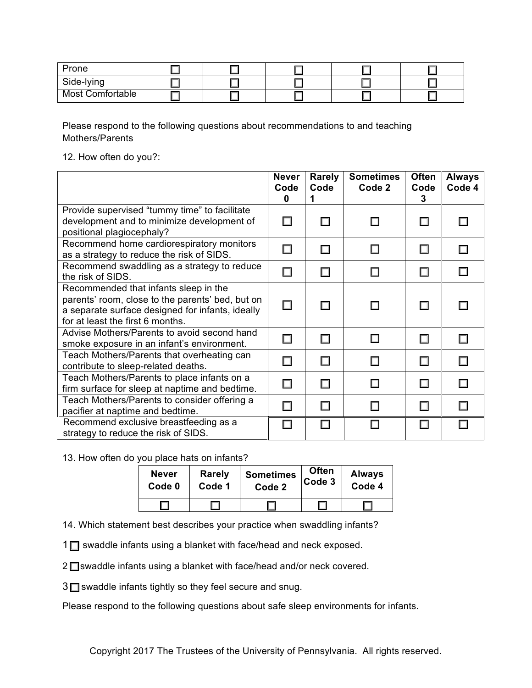| Prone                   |  |  |  |
|-------------------------|--|--|--|
| Side-lying              |  |  |  |
| <b>Most Comfortable</b> |  |  |  |

Please respond to the following questions about recommendations to and teaching Mothers/Parents

12. How often do you?:

|                                                                                                                                                                                   | <b>Never</b><br>Code<br>0 | Rarely<br>Code | <b>Sometimes</b><br>Code 2 | <b>Often</b><br>Code<br>3 | <b>Always</b><br>Code 4 |
|-----------------------------------------------------------------------------------------------------------------------------------------------------------------------------------|---------------------------|----------------|----------------------------|---------------------------|-------------------------|
| Provide supervised "tummy time" to facilitate<br>development and to minimize development of<br>positional plagiocephaly?                                                          |                           | П              |                            | П                         |                         |
| Recommend home cardiorespiratory monitors<br>as a strategy to reduce the risk of SIDS.                                                                                            | П                         | П              |                            | □                         |                         |
| Recommend swaddling as a strategy to reduce<br>the risk of SIDS.                                                                                                                  | $\Box$                    | П              |                            | □                         |                         |
| Recommended that infants sleep in the<br>parents' room, close to the parents' bed, but on<br>a separate surface designed for infants, ideally<br>for at least the first 6 months. | □                         | П              | П                          | □                         |                         |
| Advise Mothers/Parents to avoid second hand<br>smoke exposure in an infant's environment.                                                                                         |                           | П              | П                          | П                         |                         |
| Teach Mothers/Parents that overheating can<br>contribute to sleep-related deaths.                                                                                                 |                           | П              |                            | П                         |                         |
| Teach Mothers/Parents to place infants on a<br>firm surface for sleep at naptime and bedtime.                                                                                     |                           | П              |                            | □                         |                         |
| Teach Mothers/Parents to consider offering a<br>pacifier at naptime and bedtime.                                                                                                  |                           | $\Box$         |                            | □                         |                         |
| Recommend exclusive breastfeeding as a<br>strategy to reduce the risk of SIDS.                                                                                                    |                           | П              |                            | П                         |                         |

13. How often do you place hats on infants?

| <b>Never</b> | <b>Rarely</b> | <b>Sometimes</b> | <b>Often</b> | <b>Always</b> |
|--------------|---------------|------------------|--------------|---------------|
| Code 0       | Code 1        | Code 2           | Code 3       | Code 4        |
|              |               |                  |              |               |

14. Which statement best describes your practice when swaddling infants?

 $1\Box$  swaddle infants using a blanket with face/head and neck exposed.

 $2 \square$  swaddle infants using a blanket with face/head and/or neck covered.

 $3\Box$  swaddle infants tightly so they feel secure and snug.

Please respond to the following questions about safe sleep environments for infants.